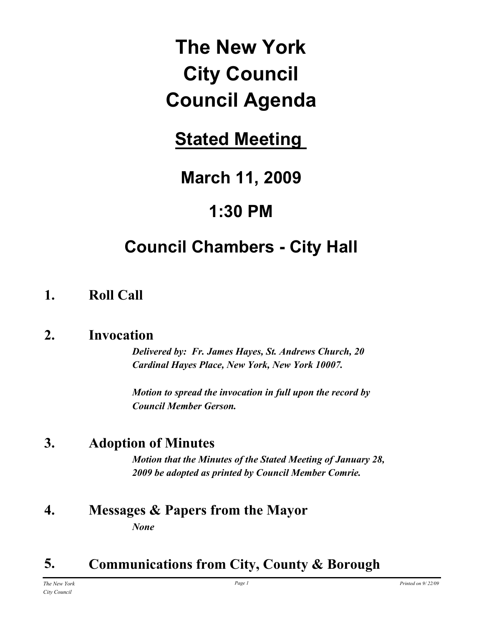# **The New York City Council Council Agenda**

# **Stated Meeting**

# **March 11, 2009**

# **1:30 PM**

# **Council Chambers - City Hall**

# **1. Roll Call**

# **2. Invocation**

*Delivered by: Fr. James Hayes, St. Andrews Church, 20 Cardinal Hayes Place, New York, New York 10007.*

*Motion to spread the invocation in full upon the record by Council Member Gerson.*

# **3. Adoption of Minutes**

*Motion that the Minutes of the Stated Meeting of January 28, 2009 be adopted as printed by Council Member Comrie.*

## **4. Messages & Papers from the Mayor** *None*

# **5. Communications from City, County & Borough**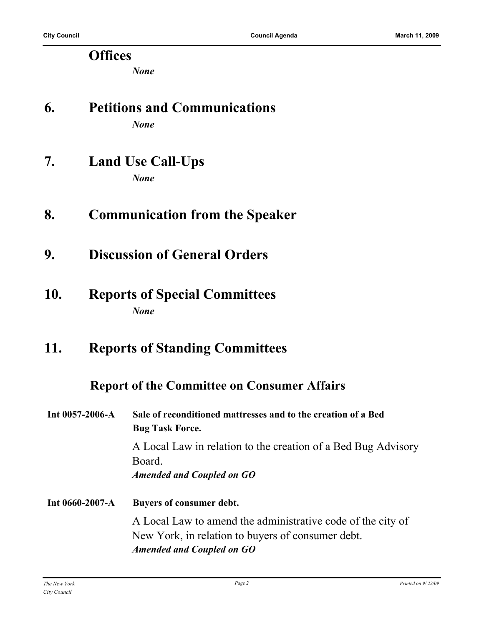### **Offices**

*None*

### **6. Petitions and Communications** *None*

- **7. Land Use Call-Ups** *None*
- **8. Communication from the Speaker**
- **9. Discussion of General Orders**
- **10. Reports of Special Committees** *None*
- **11. Reports of Standing Committees**

### **Report of the Committee on Consumer Affairs**

| Int $0057 - 2006 - A$ | Sale of reconditioned mattresses and to the creation of a Bed<br><b>Bug Task Force.</b>                                                              |  |  |
|-----------------------|------------------------------------------------------------------------------------------------------------------------------------------------------|--|--|
|                       | A Local Law in relation to the creation of a Bed Bug Advisory<br>Board.<br><b>Amended and Coupled on GO</b>                                          |  |  |
| Int 0660-2007-A       | Buyers of consumer debt.                                                                                                                             |  |  |
|                       | A Local Law to amend the administrative code of the city of<br>New York, in relation to buyers of consumer debt.<br><b>Amended and Coupled on GO</b> |  |  |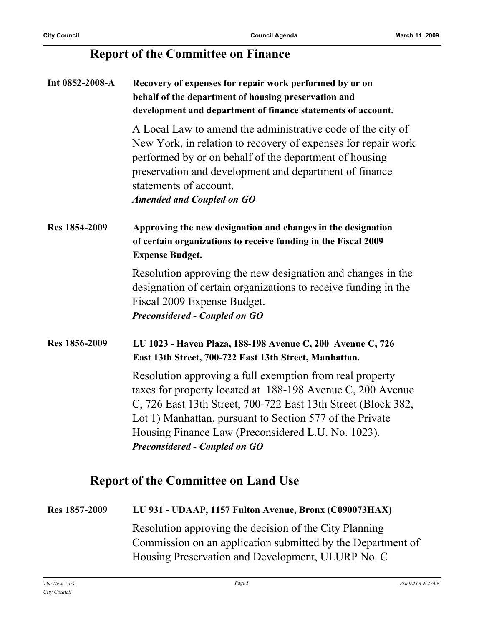## **Report of the Committee on Finance**

| Int 0852-2008-A | Recovery of expenses for repair work performed by or on<br>behalf of the department of housing preservation and<br>development and department of finance statements of account.                                                                                                                                                                   |
|-----------------|---------------------------------------------------------------------------------------------------------------------------------------------------------------------------------------------------------------------------------------------------------------------------------------------------------------------------------------------------|
|                 | A Local Law to amend the administrative code of the city of<br>New York, in relation to recovery of expenses for repair work<br>performed by or on behalf of the department of housing<br>preservation and development and department of finance<br>statements of account.<br><b>Amended and Coupled on GO</b>                                    |
| Res 1854-2009   | Approving the new designation and changes in the designation<br>of certain organizations to receive funding in the Fiscal 2009<br><b>Expense Budget.</b>                                                                                                                                                                                          |
|                 | Resolution approving the new designation and changes in the<br>designation of certain organizations to receive funding in the<br>Fiscal 2009 Expense Budget.<br><b>Preconsidered - Coupled on GO</b>                                                                                                                                              |
| Res 1856-2009   | LU 1023 - Haven Plaza, 188-198 Avenue C, 200 Avenue C, 726<br>East 13th Street, 700-722 East 13th Street, Manhattan.                                                                                                                                                                                                                              |
|                 | Resolution approving a full exemption from real property<br>taxes for property located at 188-198 Avenue C, 200 Avenue<br>C, 726 East 13th Street, 700-722 East 13th Street (Block 382,<br>Lot 1) Manhattan, pursuant to Section 577 of the Private<br>Housing Finance Law (Preconsidered L.U. No. 1023).<br><b>Preconsidered - Coupled on GO</b> |

# **Report of the Committee on Land Use**

# **Res 1857-2009 LU 931 - UDAAP, 1157 Fulton Avenue, Bronx (C090073HAX)** Resolution approving the decision of the City Planning Commission on an application submitted by the Department of Housing Preservation and Development, ULURP No. C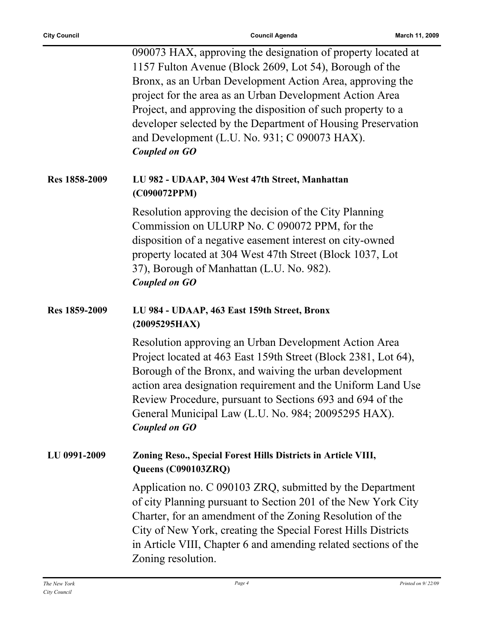|               | 090073 HAX, approving the designation of property located at<br>1157 Fulton Avenue (Block 2609, Lot 54), Borough of the<br>Bronx, as an Urban Development Action Area, approving the<br>project for the area as an Urban Development Action Area<br>Project, and approving the disposition of such property to a<br>developer selected by the Department of Housing Preservation<br>and Development (L.U. No. 931; C 090073 HAX).<br><b>Coupled on GO</b> |
|---------------|-----------------------------------------------------------------------------------------------------------------------------------------------------------------------------------------------------------------------------------------------------------------------------------------------------------------------------------------------------------------------------------------------------------------------------------------------------------|
| Res 1858-2009 | LU 982 - UDAAP, 304 West 47th Street, Manhattan<br>(C090072PPM)                                                                                                                                                                                                                                                                                                                                                                                           |
|               | Resolution approving the decision of the City Planning<br>Commission on ULURP No. C 090072 PPM, for the                                                                                                                                                                                                                                                                                                                                                   |
|               | disposition of a negative easement interest on city-owned<br>property located at 304 West 47th Street (Block 1037, Lot<br>37), Borough of Manhattan (L.U. No. 982).<br><b>Coupled on GO</b>                                                                                                                                                                                                                                                               |
| Res 1859-2009 | LU 984 - UDAAP, 463 East 159th Street, Bronx<br>(20095295HAX)                                                                                                                                                                                                                                                                                                                                                                                             |
|               | Resolution approving an Urban Development Action Area<br>Project located at 463 East 159th Street (Block 2381, Lot 64),<br>Borough of the Bronx, and waiving the urban development<br>action area designation requirement and the Uniform Land Use<br>Review Procedure, pursuant to Sections 693 and 694 of the<br>General Municipal Law (L.U. No. 984; 20095295 HAX).<br><b>Coupled on GO</b>                                                            |
| LU 0991-2009  | Zoning Reso., Special Forest Hills Districts in Article VIII,<br>Queens (C090103ZRQ)                                                                                                                                                                                                                                                                                                                                                                      |
|               | Application no. C 090103 ZRQ, submitted by the Department<br>of city Planning pursuant to Section 201 of the New York City<br>Charter, for an amendment of the Zoning Resolution of the<br>City of New York, creating the Special Forest Hills Districts<br>in Article VIII, Chapter 6 and amending related sections of the<br>Zoning resolution.                                                                                                         |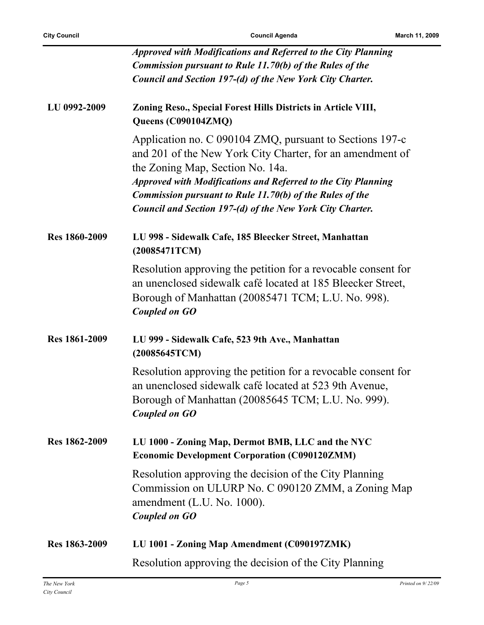|                      | <b>Approved with Modifications and Referred to the City Planning</b>                                                                                                                                                                                                                                                                                       |
|----------------------|------------------------------------------------------------------------------------------------------------------------------------------------------------------------------------------------------------------------------------------------------------------------------------------------------------------------------------------------------------|
|                      | <b>Commission pursuant to Rule 11.70(b) of the Rules of the</b>                                                                                                                                                                                                                                                                                            |
|                      | Council and Section 197-(d) of the New York City Charter.                                                                                                                                                                                                                                                                                                  |
| LU 0992-2009         | Zoning Reso., Special Forest Hills Districts in Article VIII,<br>Queens (C090104ZMQ)                                                                                                                                                                                                                                                                       |
|                      | Application no. C 090104 ZMQ, pursuant to Sections 197-c<br>and 201 of the New York City Charter, for an amendment of<br>the Zoning Map, Section No. 14a.<br>Approved with Modifications and Referred to the City Planning<br><b>Commission pursuant to Rule 11.70(b) of the Rules of the</b><br>Council and Section 197-(d) of the New York City Charter. |
| <b>Res 1860-2009</b> | LU 998 - Sidewalk Cafe, 185 Bleecker Street, Manhattan<br>(20085471TCM)                                                                                                                                                                                                                                                                                    |
|                      | Resolution approving the petition for a revocable consent for<br>an unenclosed sidewalk café located at 185 Bleecker Street,<br>Borough of Manhattan (20085471 TCM; L.U. No. 998).<br><b>Coupled on GO</b>                                                                                                                                                 |
| Res 1861-2009        | LU 999 - Sidewalk Cafe, 523 9th Ave., Manhattan<br>(20085645TCM)                                                                                                                                                                                                                                                                                           |
|                      | Resolution approving the petition for a revocable consent for<br>an unenclosed sidewalk café located at 523 9th Avenue,<br>Borough of Manhattan (20085645 TCM; L.U. No. 999).<br>Coupled on GO                                                                                                                                                             |
| Res 1862-2009        | LU 1000 - Zoning Map, Dermot BMB, LLC and the NYC<br><b>Economic Development Corporation (C090120ZMM)</b>                                                                                                                                                                                                                                                  |
|                      | Resolution approving the decision of the City Planning<br>Commission on ULURP No. C 090120 ZMM, a Zoning Map<br>amendment (L.U. No. 1000).<br><b>Coupled on GO</b>                                                                                                                                                                                         |
| Res 1863-2009        | LU 1001 - Zoning Map Amendment (C090197ZMK)                                                                                                                                                                                                                                                                                                                |
|                      | Resolution approving the decision of the City Planning                                                                                                                                                                                                                                                                                                     |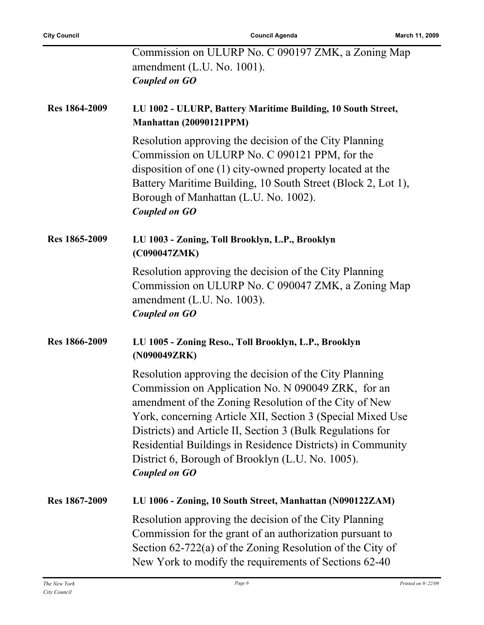|                      | Commission on ULURP No. C 090197 ZMK, a Zoning Map<br>amendment (L.U. No. 1001).<br><b>Coupled on GO</b>                                                                                                                                                                                                                                                                                                                             |
|----------------------|--------------------------------------------------------------------------------------------------------------------------------------------------------------------------------------------------------------------------------------------------------------------------------------------------------------------------------------------------------------------------------------------------------------------------------------|
| Res 1864-2009        | LU 1002 - ULURP, Battery Maritime Building, 10 South Street,<br>Manhattan (20090121PPM)                                                                                                                                                                                                                                                                                                                                              |
|                      | Resolution approving the decision of the City Planning<br>Commission on ULURP No. C 090121 PPM, for the<br>disposition of one (1) city-owned property located at the<br>Battery Maritime Building, 10 South Street (Block 2, Lot 1),<br>Borough of Manhattan (L.U. No. 1002).<br><b>Coupled on GO</b>                                                                                                                                |
| Res 1865-2009        | LU 1003 - Zoning, Toll Brooklyn, L.P., Brooklyn<br>(C090047ZMK)                                                                                                                                                                                                                                                                                                                                                                      |
|                      | Resolution approving the decision of the City Planning<br>Commission on ULURP No. C 090047 ZMK, a Zoning Map<br>amendment $(L.U. No. 1003)$ .<br><b>Coupled on GO</b>                                                                                                                                                                                                                                                                |
| <b>Res 1866-2009</b> | LU 1005 - Zoning Reso., Toll Brooklyn, L.P., Brooklyn<br>(N090049ZRK)                                                                                                                                                                                                                                                                                                                                                                |
|                      | Resolution approving the decision of the City Planning<br>Commission on Application No. N 090049 ZRK, for an<br>amendment of the Zoning Resolution of the City of New<br>York, concerning Article XII, Section 3 (Special Mixed Use<br>Districts) and Article II, Section 3 (Bulk Regulations for<br>Residential Buildings in Residence Districts) in Community<br>District 6, Borough of Brooklyn (L.U. No. 1005).<br>Coupled on GO |
| Res 1867-2009        | LU 1006 - Zoning, 10 South Street, Manhattan (N090122ZAM)                                                                                                                                                                                                                                                                                                                                                                            |
|                      | Resolution approving the decision of the City Planning<br>Commission for the grant of an authorization pursuant to<br>Section $62-722(a)$ of the Zoning Resolution of the City of<br>New York to modify the requirements of Sections 62-40                                                                                                                                                                                           |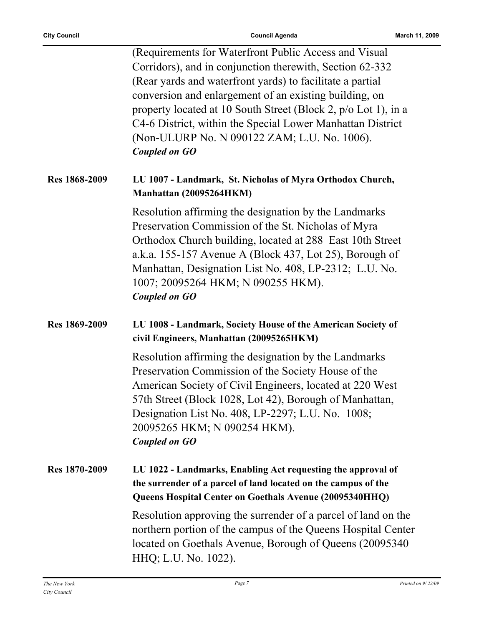|               | (Requirements for Waterfront Public Access and Visual)<br>Corridors), and in conjunction therewith, Section 62-332<br>(Rear yards and waterfront yards) to facilitate a partial<br>conversion and enlargement of an existing building, on<br>property located at 10 South Street (Block 2, p/o Lot 1), in a<br>C4-6 District, within the Special Lower Manhattan District<br>(Non-ULURP No. N 090122 ZAM; L.U. No. 1006).<br><b>Coupled on GO</b> |
|---------------|---------------------------------------------------------------------------------------------------------------------------------------------------------------------------------------------------------------------------------------------------------------------------------------------------------------------------------------------------------------------------------------------------------------------------------------------------|
| Res 1868-2009 | LU 1007 - Landmark, St. Nicholas of Myra Orthodox Church,<br>Manhattan (20095264HKM)                                                                                                                                                                                                                                                                                                                                                              |
|               | Resolution affirming the designation by the Landmarks<br>Preservation Commission of the St. Nicholas of Myra<br>Orthodox Church building, located at 288 East 10th Street<br>a.k.a. 155-157 Avenue A (Block 437, Lot 25), Borough of<br>Manhattan, Designation List No. 408, LP-2312; L.U. No.<br>1007; 20095264 HKM; N 090255 HKM).<br><b>Coupled on GO</b>                                                                                      |
| Res 1869-2009 | LU 1008 - Landmark, Society House of the American Society of<br>civil Engineers, Manhattan (20095265HKM)                                                                                                                                                                                                                                                                                                                                          |
|               | Resolution affirming the designation by the Landmarks<br>Preservation Commission of the Society House of the<br>American Society of Civil Engineers, located at 220 West<br>57th Street (Block 1028, Lot 42), Borough of Manhattan,<br>Designation List No. 408, LP-2297; L.U. No. 1008;<br>20095265 HKM; N 090254 HKM).<br><b>Coupled on GO</b>                                                                                                  |
| Res 1870-2009 | LU 1022 - Landmarks, Enabling Act requesting the approval of<br>the surrender of a parcel of land located on the campus of the<br>Queens Hospital Center on Goethals Avenue (20095340HHQ)                                                                                                                                                                                                                                                         |
|               | Resolution approving the surrender of a parcel of land on the<br>northern portion of the campus of the Queens Hospital Center<br>located on Goethals Avenue, Borough of Queens (20095340)<br>HHQ; L.U. No. 1022).                                                                                                                                                                                                                                 |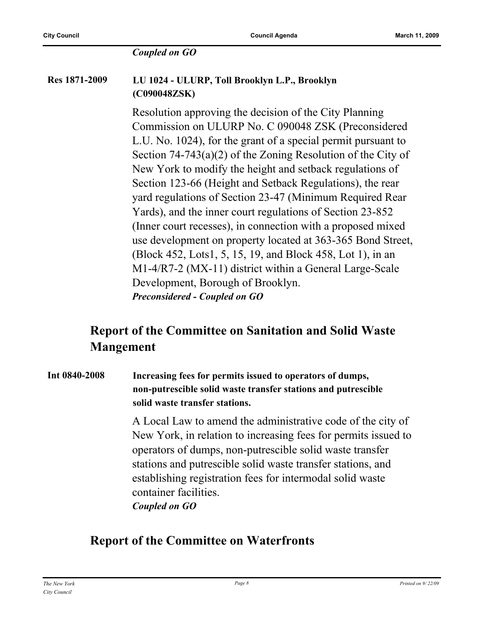#### *Coupled on GO*

#### **Res 1871-2009 LU 1024 - ULURP, Toll Brooklyn L.P., Brooklyn (C090048ZSK)**

Resolution approving the decision of the City Planning Commission on ULURP No. C 090048 ZSK (Preconsidered L.U. No. 1024), for the grant of a special permit pursuant to Section 74-743(a)(2) of the Zoning Resolution of the City of New York to modify the height and setback regulations of Section 123-66 (Height and Setback Regulations), the rear yard regulations of Section 23-47 (Minimum Required Rear Yards), and the inner court regulations of Section 23-852 (Inner court recesses), in connection with a proposed mixed use development on property located at 363-365 Bond Street, (Block 452, Lots1, 5, 15, 19, and Block 458, Lot 1), in an M1-4/R7-2 (MX-11) district within a General Large-Scale Development, Borough of Brooklyn. *Preconsidered - Coupled on GO*

## **Report of the Committee on Sanitation and Solid Waste Mangement**

#### **Int 0840-2008 Increasing fees for permits issued to operators of dumps, non-putrescible solid waste transfer stations and putrescible solid waste transfer stations.**

A Local Law to amend the administrative code of the city of New York, in relation to increasing fees for permits issued to operators of dumps, non-putrescible solid waste transfer stations and putrescible solid waste transfer stations, and establishing registration fees for intermodal solid waste container facilities. *Coupled on GO*

### **Report of the Committee on Waterfronts**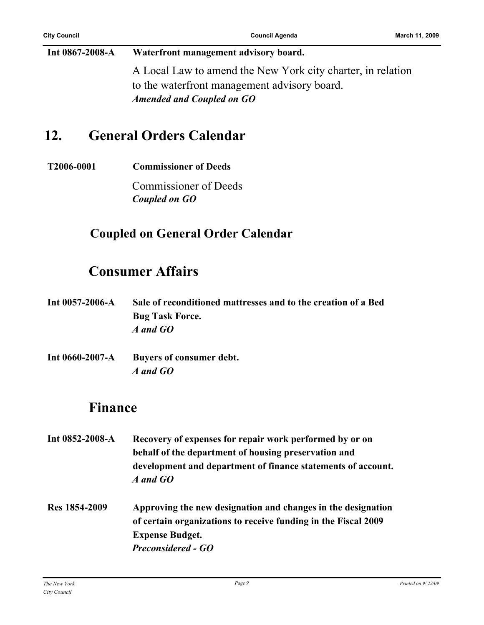**Int 0867-2008-A Waterfront management advisory board.** A Local Law to amend the New York city charter, in relation to the waterfront management advisory board. *Amended and Coupled on GO*

# **12. General Orders Calendar**

**T2006-0001 Commissioner of Deeds**

Commissioner of Deeds *Coupled on GO*

## **Coupled on General Order Calendar**

# **Consumer Affairs**

- **Int 0057-2006-A Sale of reconditioned mattresses and to the creation of a Bed Bug Task Force.** *A and GO*
- **Int 0660-2007-A Buyers of consumer debt.** *A and GO*

## **Finance**

- **Int 0852-2008-A Recovery of expenses for repair work performed by or on behalf of the department of housing preservation and development and department of finance statements of account.** *A and GO*
- **Res 1854-2009 Approving the new designation and changes in the designation of certain organizations to receive funding in the Fiscal 2009 Expense Budget.** *Preconsidered - GO*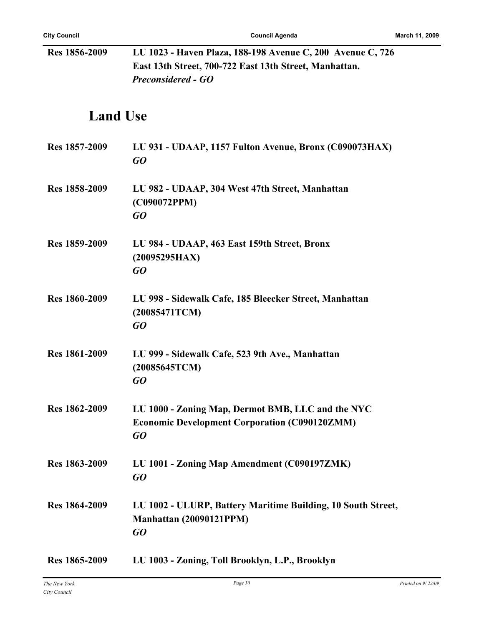| Res 1856-2009        | LU 1023 - Haven Plaza, 188-198 Avenue C, 200 Avenue C, 726                                                      |
|----------------------|-----------------------------------------------------------------------------------------------------------------|
|                      | East 13th Street, 700-722 East 13th Street, Manhattan.                                                          |
|                      | <b>Preconsidered - GO</b>                                                                                       |
| <b>Land Use</b>      |                                                                                                                 |
| Res 1857-2009        | LU 931 - UDAAP, 1157 Fulton Avenue, Bronx (C090073HAX)<br>GO                                                    |
| Res 1858-2009        | LU 982 - UDAAP, 304 West 47th Street, Manhattan<br>(C090072PPM)<br>GO                                           |
| Res 1859-2009        | LU 984 - UDAAP, 463 East 159th Street, Bronx<br>(20095295HAX)<br>GO                                             |
| <b>Res 1860-2009</b> | LU 998 - Sidewalk Cafe, 185 Bleecker Street, Manhattan<br>(20085471TCM)<br>GO                                   |
| Res 1861-2009        | LU 999 - Sidewalk Cafe, 523 9th Ave., Manhattan<br>(20085645TCM)<br>GO                                          |
| Res 1862-2009        | LU 1000 - Zoning Map, Dermot BMB, LLC and the NYC<br><b>Economic Development Corporation (C090120ZMM)</b><br>GO |
| Res 1863-2009        | LU 1001 - Zoning Map Amendment (C090197ZMK)<br>GO                                                               |
| Res 1864-2009        | LU 1002 - ULURP, Battery Maritime Building, 10 South Street,<br>Manhattan (20090121PPM)<br>GO                   |
| Res 1865-2009        | LU 1003 - Zoning, Toll Brooklyn, L.P., Brooklyn                                                                 |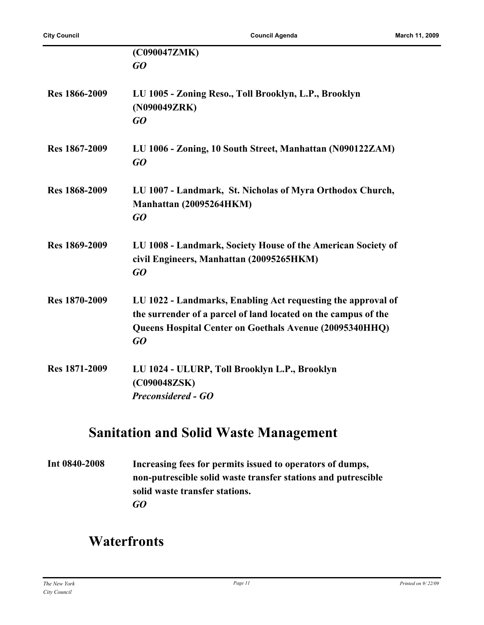|                      | (C090047ZMK)                                                                                                                                                                                    |
|----------------------|-------------------------------------------------------------------------------------------------------------------------------------------------------------------------------------------------|
|                      | GQ                                                                                                                                                                                              |
| <b>Res 1866-2009</b> | LU 1005 - Zoning Reso., Toll Brooklyn, L.P., Brooklyn<br>(N090049ZRK)<br>$G$ O                                                                                                                  |
| Res 1867-2009        | LU 1006 - Zoning, 10 South Street, Manhattan (N090122ZAM)<br>GQ                                                                                                                                 |
| Res 1868-2009        | LU 1007 - Landmark, St. Nicholas of Myra Orthodox Church,<br>Manhattan (20095264HKM)<br>GQ                                                                                                      |
| Res 1869-2009        | LU 1008 - Landmark, Society House of the American Society of<br>civil Engineers, Manhattan (20095265HKM)<br>GO                                                                                  |
| Res 1870-2009        | LU 1022 - Landmarks, Enabling Act requesting the approval of<br>the surrender of a parcel of land located on the campus of the<br>Queens Hospital Center on Goethals Avenue (20095340HHQ)<br>GQ |
| Res 1871-2009        | LU 1024 - ULURP, Toll Brooklyn L.P., Brooklyn<br>(C090048ZSK)<br><b>Preconsidered - GO</b>                                                                                                      |

# **Sanitation and Solid Waste Management**

**Int 0840-2008 Increasing fees for permits issued to operators of dumps, non-putrescible solid waste transfer stations and putrescible solid waste transfer stations.** *GO*

# **Waterfronts**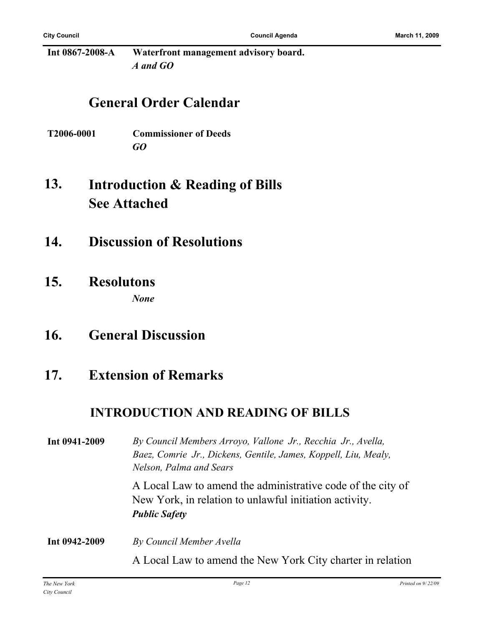**Int 0867-2008-A Waterfront management advisory board.** *A and GO*

## **General Order Calendar**

- **T2006-0001 Commissioner of Deeds** *GO*
- **Introduction & Reading of Bills See Attached 13.**
- **14. Discussion of Resolutions**
- **15. Resolutons** *None*
- **16. General Discussion**
- **17. Extension of Remarks**

### **INTRODUCTION AND READING OF BILLS**

| Int 0941-2009 | By Council Members Arroyo, Vallone Jr., Recchia Jr., Avella,<br>Baez, Comrie Jr., Dickens, Gentile, James, Koppell, Liu, Mealy,<br>Nelson, Palma and Sears |
|---------------|------------------------------------------------------------------------------------------------------------------------------------------------------------|
|               | A Local Law to amend the administrative code of the city of<br>New York, in relation to unlawful initiation activity.<br><b>Public Safety</b>              |
| Int 0942-2009 | By Council Member Avella                                                                                                                                   |
|               | A Local Law to amend the New York City charter in relation                                                                                                 |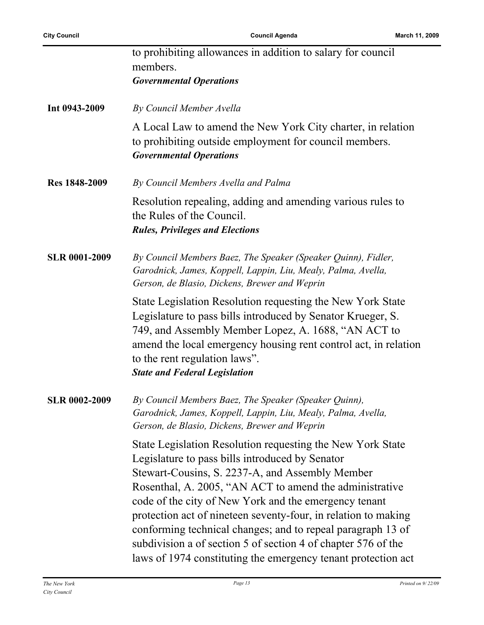|                      | to prohibiting allowances in addition to salary for council<br>members.<br><b>Governmental Operations</b>                                                                                                                                                                                                                                                                                                                                                                                                                                               |
|----------------------|---------------------------------------------------------------------------------------------------------------------------------------------------------------------------------------------------------------------------------------------------------------------------------------------------------------------------------------------------------------------------------------------------------------------------------------------------------------------------------------------------------------------------------------------------------|
| Int 0943-2009        | By Council Member Avella                                                                                                                                                                                                                                                                                                                                                                                                                                                                                                                                |
|                      | A Local Law to amend the New York City charter, in relation<br>to prohibiting outside employment for council members.<br><b>Governmental Operations</b>                                                                                                                                                                                                                                                                                                                                                                                                 |
| Res 1848-2009        | By Council Members Avella and Palma                                                                                                                                                                                                                                                                                                                                                                                                                                                                                                                     |
|                      | Resolution repealing, adding and amending various rules to<br>the Rules of the Council.<br><b>Rules, Privileges and Elections</b>                                                                                                                                                                                                                                                                                                                                                                                                                       |
| <b>SLR 0001-2009</b> | By Council Members Baez, The Speaker (Speaker Quinn), Fidler,<br>Garodnick, James, Koppell, Lappin, Liu, Mealy, Palma, Avella,<br>Gerson, de Blasio, Dickens, Brewer and Weprin                                                                                                                                                                                                                                                                                                                                                                         |
|                      | State Legislation Resolution requesting the New York State<br>Legislature to pass bills introduced by Senator Krueger, S.<br>749, and Assembly Member Lopez, A. 1688, "AN ACT to<br>amend the local emergency housing rent control act, in relation<br>to the rent regulation laws".<br><b>State and Federal Legislation</b>                                                                                                                                                                                                                            |
| <b>SLR 0002-2009</b> | By Council Members Baez, The Speaker (Speaker Quinn),<br>Garodnick, James, Koppell, Lappin, Liu, Mealy, Palma, Avella,<br>Gerson, de Blasio, Dickens, Brewer and Weprin                                                                                                                                                                                                                                                                                                                                                                                 |
|                      | State Legislation Resolution requesting the New York State<br>Legislature to pass bills introduced by Senator<br>Stewart-Cousins, S. 2237-A, and Assembly Member<br>Rosenthal, A. 2005, "AN ACT to amend the administrative<br>code of the city of New York and the emergency tenant<br>protection act of nineteen seventy-four, in relation to making<br>conforming technical changes; and to repeal paragraph 13 of<br>subdivision a of section 5 of section 4 of chapter 576 of the<br>laws of 1974 constituting the emergency tenant protection act |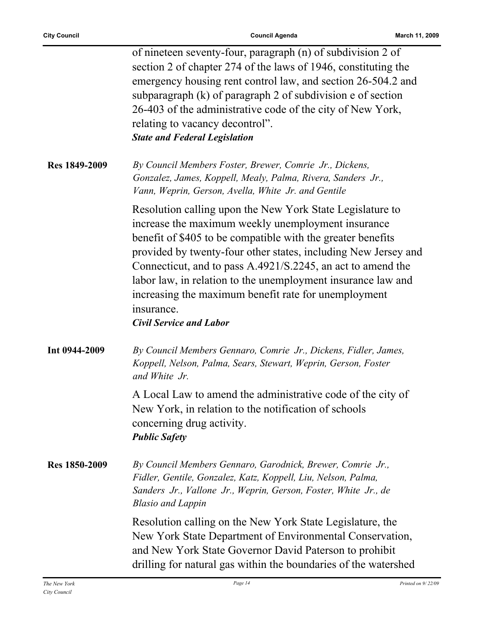|               | of nineteen seventy-four, paragraph (n) of subdivision 2 of<br>section 2 of chapter 274 of the laws of 1946, constituting the<br>emergency housing rent control law, and section 26-504.2 and<br>subparagraph (k) of paragraph 2 of subdivision e of section<br>26-403 of the administrative code of the city of New York,<br>relating to vacancy decontrol".<br><b>State and Federal Legislation</b>                                                                                   |
|---------------|-----------------------------------------------------------------------------------------------------------------------------------------------------------------------------------------------------------------------------------------------------------------------------------------------------------------------------------------------------------------------------------------------------------------------------------------------------------------------------------------|
| Res 1849-2009 | By Council Members Foster, Brewer, Comrie Jr., Dickens,<br>Gonzalez, James, Koppell, Mealy, Palma, Rivera, Sanders Jr.,<br>Vann, Weprin, Gerson, Avella, White Jr. and Gentile                                                                                                                                                                                                                                                                                                          |
|               | Resolution calling upon the New York State Legislature to<br>increase the maximum weekly unemployment insurance<br>benefit of \$405 to be compatible with the greater benefits<br>provided by twenty-four other states, including New Jersey and<br>Connecticut, and to pass A.4921/S.2245, an act to amend the<br>labor law, in relation to the unemployment insurance law and<br>increasing the maximum benefit rate for unemployment<br>insurance.<br><b>Civil Service and Labor</b> |
| Int 0944-2009 | By Council Members Gennaro, Comrie Jr., Dickens, Fidler, James,<br>Koppell, Nelson, Palma, Sears, Stewart, Weprin, Gerson, Foster<br>and White Jr.                                                                                                                                                                                                                                                                                                                                      |
|               | A Local Law to amend the administrative code of the city of<br>New York, in relation to the notification of schools<br>concerning drug activity.<br><b>Public Safety</b>                                                                                                                                                                                                                                                                                                                |
| Res 1850-2009 | By Council Members Gennaro, Garodnick, Brewer, Comrie Jr.,<br>Fidler, Gentile, Gonzalez, Katz, Koppell, Liu, Nelson, Palma,<br>Sanders Jr., Vallone Jr., Weprin, Gerson, Foster, White Jr., de<br><b>Blasio and Lappin</b>                                                                                                                                                                                                                                                              |
|               | Resolution calling on the New York State Legislature, the<br>New York State Department of Environmental Conservation,<br>and New York State Governor David Paterson to prohibit<br>drilling for natural gas within the boundaries of the watershed                                                                                                                                                                                                                                      |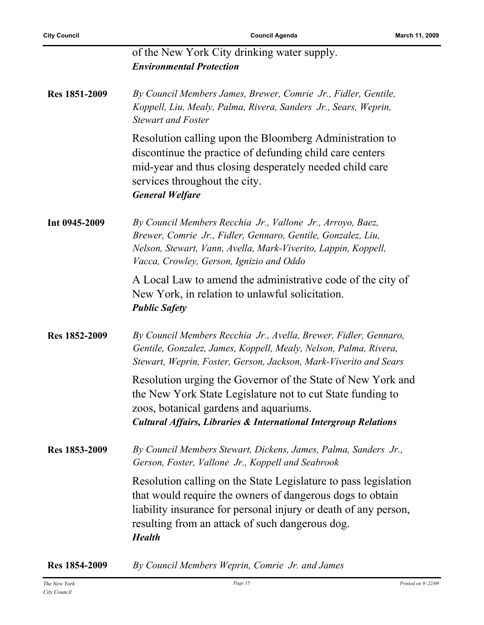|               | of the New York City drinking water supply.                                                                                                                                                                                                                         |
|---------------|---------------------------------------------------------------------------------------------------------------------------------------------------------------------------------------------------------------------------------------------------------------------|
|               | <b>Environmental Protection</b>                                                                                                                                                                                                                                     |
| Res 1851-2009 | By Council Members James, Brewer, Comrie Jr., Fidler, Gentile,<br>Koppell, Liu, Mealy, Palma, Rivera, Sanders Jr., Sears, Weprin,<br><b>Stewart and Foster</b>                                                                                                      |
|               | Resolution calling upon the Bloomberg Administration to<br>discontinue the practice of defunding child care centers<br>mid-year and thus closing desperately needed child care<br>services throughout the city.<br><b>General Welfare</b>                           |
| Int 0945-2009 | By Council Members Recchia Jr., Vallone Jr., Arroyo, Baez,<br>Brewer, Comrie Jr., Fidler, Gennaro, Gentile, Gonzalez, Liu,<br>Nelson, Stewart, Vann, Avella, Mark-Viverito, Lappin, Koppell,<br>Vacca, Crowley, Gerson, Ignizio and Oddo                            |
|               | A Local Law to amend the administrative code of the city of<br>New York, in relation to unlawful solicitation.<br><b>Public Safety</b>                                                                                                                              |
| Res 1852-2009 | By Council Members Recchia Jr., Avella, Brewer, Fidler, Gennaro,<br>Gentile, Gonzalez, James, Koppell, Mealy, Nelson, Palma, Rivera,<br>Stewart, Weprin, Foster, Gerson, Jackson, Mark-Viverito and Sears                                                           |
|               | Resolution urging the Governor of the State of New York and<br>the New York State Legislature not to cut State funding to<br>zoos, botanical gardens and aquariums.<br><b>Cultural Affairs, Libraries &amp; International Intergroup Relations</b>                  |
| Res 1853-2009 | By Council Members Stewart, Dickens, James, Palma, Sanders Jr.,<br>Gerson, Foster, Vallone Jr., Koppell and Seabrook                                                                                                                                                |
|               | Resolution calling on the State Legislature to pass legislation<br>that would require the owners of dangerous dogs to obtain<br>liability insurance for personal injury or death of any person,<br>resulting from an attack of such dangerous dog.<br><b>Health</b> |

**Res 1854-2009** *By Council Members Weprin, Comrie Jr. and James*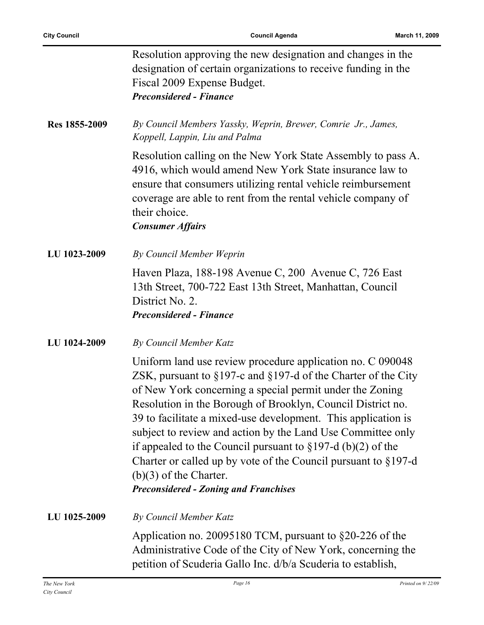|               | Resolution approving the new designation and changes in the<br>designation of certain organizations to receive funding in the<br>Fiscal 2009 Expense Budget.<br><b>Preconsidered - Finance</b>                                                                                                                                                                                                                                                                                                                                                                                                                        |
|---------------|-----------------------------------------------------------------------------------------------------------------------------------------------------------------------------------------------------------------------------------------------------------------------------------------------------------------------------------------------------------------------------------------------------------------------------------------------------------------------------------------------------------------------------------------------------------------------------------------------------------------------|
| Res 1855-2009 | By Council Members Yassky, Weprin, Brewer, Comrie Jr., James,<br>Koppell, Lappin, Liu and Palma                                                                                                                                                                                                                                                                                                                                                                                                                                                                                                                       |
|               | Resolution calling on the New York State Assembly to pass A.<br>4916, which would amend New York State insurance law to<br>ensure that consumers utilizing rental vehicle reimbursement<br>coverage are able to rent from the rental vehicle company of<br>their choice.<br><b>Consumer Affairs</b>                                                                                                                                                                                                                                                                                                                   |
| LU 1023-2009  | By Council Member Weprin                                                                                                                                                                                                                                                                                                                                                                                                                                                                                                                                                                                              |
|               | Haven Plaza, 188-198 Avenue C, 200 Avenue C, 726 East<br>13th Street, 700-722 East 13th Street, Manhattan, Council<br>District No. 2.<br><b>Preconsidered - Finance</b>                                                                                                                                                                                                                                                                                                                                                                                                                                               |
| LU 1024-2009  | By Council Member Katz                                                                                                                                                                                                                                                                                                                                                                                                                                                                                                                                                                                                |
|               | Uniform land use review procedure application no. C 090048<br>ZSK, pursuant to $\S 197$ -c and $\S 197$ -d of the Charter of the City<br>of New York concerning a special permit under the Zoning<br>Resolution in the Borough of Brooklyn, Council District no.<br>39 to facilitate a mixed-use development. This application is<br>subject to review and action by the Land Use Committee only<br>if appealed to the Council pursuant to $\S 197-d$ (b)(2) of the<br>Charter or called up by vote of the Council pursuant to $\S 197-d$<br>$(b)(3)$ of the Charter.<br><b>Preconsidered - Zoning and Franchises</b> |
| LU 1025-2009  | By Council Member Katz                                                                                                                                                                                                                                                                                                                                                                                                                                                                                                                                                                                                |
|               | Application no. 20095180 TCM, pursuant to $\S20-226$ of the<br>Administrative Code of the City of New York, concerning the<br>petition of Scuderia Gallo Inc. d/b/a Scuderia to establish,                                                                                                                                                                                                                                                                                                                                                                                                                            |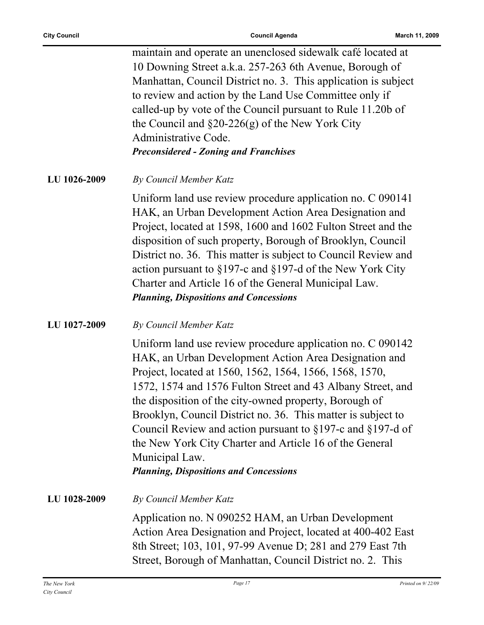maintain and operate an unenclosed sidewalk café located at 10 Downing Street a.k.a. 257-263 6th Avenue, Borough of Manhattan, Council District no. 3. This application is subject to review and action by the Land Use Committee only if called-up by vote of the Council pursuant to Rule 11.20b of the Council and §20-226(g) of the New York City Administrative Code. *Preconsidered - Zoning and Franchises*

**LU 1026-2009** *By Council Member Katz*

Uniform land use review procedure application no. C 090141 HAK, an Urban Development Action Area Designation and Project, located at 1598, 1600 and 1602 Fulton Street and the disposition of such property, Borough of Brooklyn, Council District no. 36. This matter is subject to Council Review and action pursuant to §197-c and §197-d of the New York City Charter and Article 16 of the General Municipal Law. *Planning, Dispositions and Concessions*

#### **LU 1027-2009** *By Council Member Katz*

Uniform land use review procedure application no. C 090142 HAK, an Urban Development Action Area Designation and Project, located at 1560, 1562, 1564, 1566, 1568, 1570, 1572, 1574 and 1576 Fulton Street and 43 Albany Street, and the disposition of the city-owned property, Borough of Brooklyn, Council District no. 36. This matter is subject to Council Review and action pursuant to §197-c and §197-d of the New York City Charter and Article 16 of the General Municipal Law.

*Planning, Dispositions and Concessions*

**LU 1028-2009** *By Council Member Katz*

Application no. N 090252 HAM, an Urban Development Action Area Designation and Project, located at 400-402 East 8th Street; 103, 101, 97-99 Avenue D; 281 and 279 East 7th Street, Borough of Manhattan, Council District no. 2. This